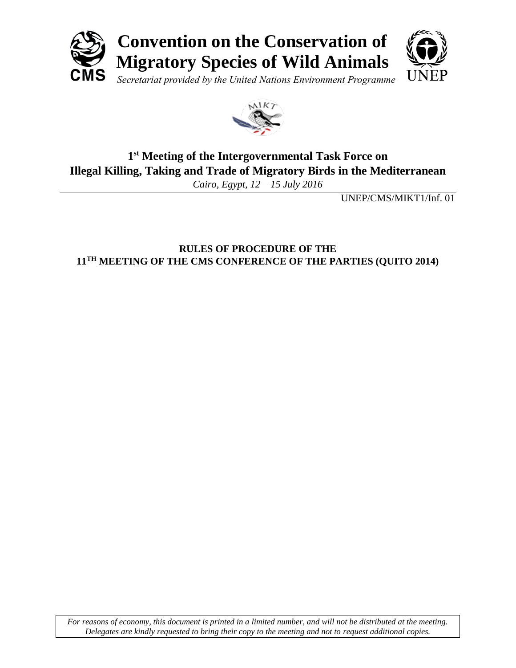



# **1 st Meeting of the Intergovernmental Task Force on Illegal Killing, Taking and Trade of Migratory Birds in the Mediterranean**

*Cairo, Egypt, 12 – 15 July 2016*

UNEP/CMS/MIKT1/Inf. 01

# **RULES OF PROCEDURE OF THE 11TH MEETING OF THE CMS CONFERENCE OF THE PARTIES (QUITO 2014)**

*For reasons of economy, this document is printed in a limited number, and will not be distributed at the meeting. Delegates are kindly requested to bring their copy to the meeting and not to request additional copies.*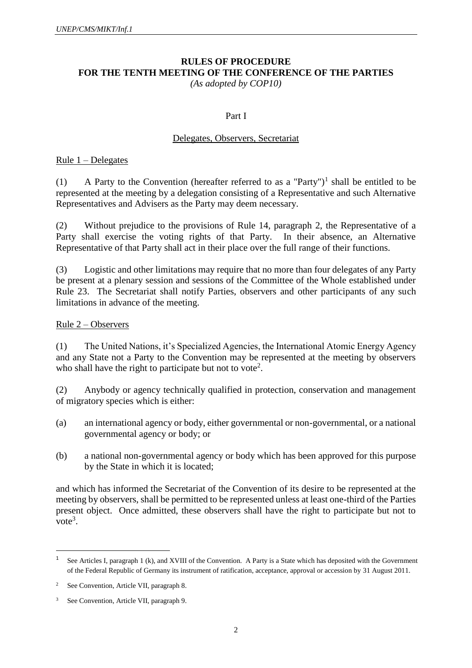# **RULES OF PROCEDURE FOR THE TENTH MEETING OF THE CONFERENCE OF THE PARTIES**

*(As adopted by COP10)*

#### Part I

#### Delegates, Observers, Secretariat

#### Rule 1 – Delegates

(1) A Party to the Convention (hereafter referred to as a "Party")<sup>1</sup> shall be entitled to be represented at the meeting by a delegation consisting of a Representative and such Alternative Representatives and Advisers as the Party may deem necessary.

(2) Without prejudice to the provisions of Rule 14, paragraph 2, the Representative of a Party shall exercise the voting rights of that Party. In their absence, an Alternative Representative of that Party shall act in their place over the full range of their functions.

(3) Logistic and other limitations may require that no more than four delegates of any Party be present at a plenary session and sessions of the Committee of the Whole established under Rule 23.The Secretariat shall notify Parties, observers and other participants of any such limitations in advance of the meeting.

#### Rule 2 – Observers

(1) The United Nations, it's Specialized Agencies, the International Atomic Energy Agency and any State not a Party to the Convention may be represented at the meeting by observers who shall have the right to participate but not to vote<sup>2</sup>.

(2) Anybody or agency technically qualified in protection, conservation and management of migratory species which is either:

- (a) an international agency or body, either governmental or non-governmental, or a national governmental agency or body; or
- (b) a national non-governmental agency or body which has been approved for this purpose by the State in which it is located;

and which has informed the Secretariat of the Convention of its desire to be represented at the meeting by observers, shall be permitted to be represented unless at least one-third of the Parties present object. Once admitted, these observers shall have the right to participate but not to  $vote<sup>3</sup>$ .

 $\overline{\phantom{a}}$ 

<sup>1</sup> See Articles I, paragraph 1 (k), and XVIII of the Convention. A Party is a State which has deposited with the Government of the Federal Republic of Germany its instrument of ratification, acceptance, approval or accession by 31 August 2011.

<sup>2</sup> See Convention, Article VII, paragraph 8.

<sup>3</sup> See Convention, Article VII, paragraph 9.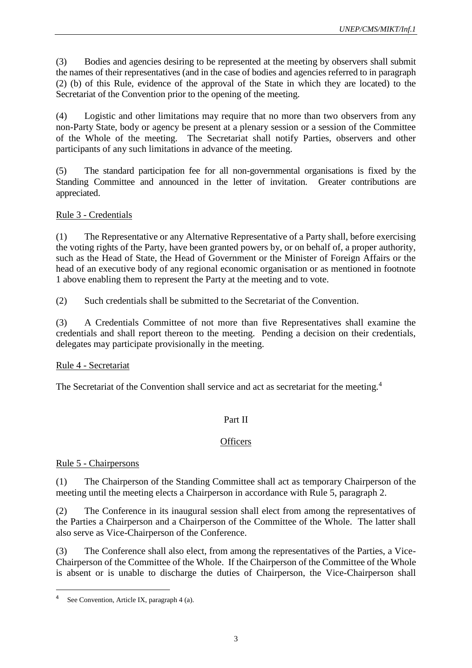(3) Bodies and agencies desiring to be represented at the meeting by observers shall submit the names of their representatives (and in the case of bodies and agencies referred to in paragraph (2) (b) of this Rule, evidence of the approval of the State in which they are located) to the Secretariat of the Convention prior to the opening of the meeting.

(4) Logistic and other limitations may require that no more than two observers from any non-Party State, body or agency be present at a plenary session or a session of the Committee of the Whole of the meeting. The Secretariat shall notify Parties, observers and other participants of any such limitations in advance of the meeting.

(5) The standard participation fee for all non-governmental organisations is fixed by the Standing Committee and announced in the letter of invitation. Greater contributions are appreciated.

### Rule 3 - Credentials

(1) The Representative or any Alternative Representative of a Party shall, before exercising the voting rights of the Party, have been granted powers by, or on behalf of, a proper authority, such as the Head of State, the Head of Government or the Minister of Foreign Affairs or the head of an executive body of any regional economic organisation or as mentioned in footnote 1 above enabling them to represent the Party at the meeting and to vote.

(2) Such credentials shall be submitted to the Secretariat of the Convention.

(3) A Credentials Committee of not more than five Representatives shall examine the credentials and shall report thereon to the meeting. Pending a decision on their credentials, delegates may participate provisionally in the meeting.

### Rule 4 - Secretariat

The Secretariat of the Convention shall service and act as secretariat for the meeting.<sup>4</sup>

### Part II

### **Officers**

### Rule 5 - Chairpersons

l

(1) The Chairperson of the Standing Committee shall act as temporary Chairperson of the meeting until the meeting elects a Chairperson in accordance with Rule 5, paragraph 2.

(2) The Conference in its inaugural session shall elect from among the representatives of the Parties a Chairperson and a Chairperson of the Committee of the Whole. The latter shall also serve as Vice-Chairperson of the Conference.

(3) The Conference shall also elect, from among the representatives of the Parties, a Vice-Chairperson of the Committee of the Whole. If the Chairperson of the Committee of the Whole is absent or is unable to discharge the duties of Chairperson, the Vice-Chairperson shall

<sup>4</sup> See Convention, Article IX, paragraph 4 (a).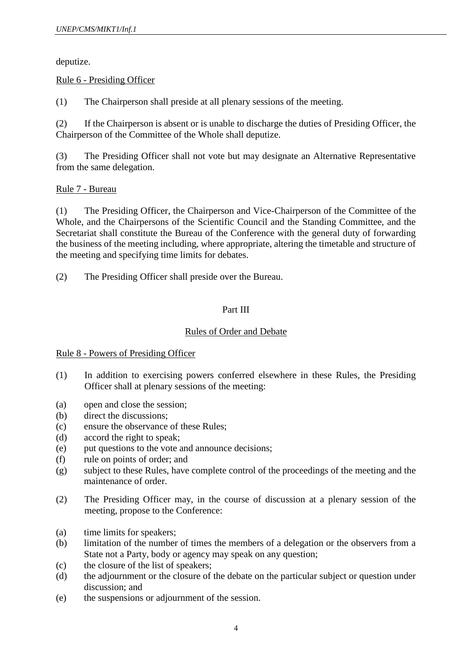deputize.

### Rule 6 - Presiding Officer

(1) The Chairperson shall preside at all plenary sessions of the meeting.

(2) If the Chairperson is absent or is unable to discharge the duties of Presiding Officer, the Chairperson of the Committee of the Whole shall deputize.

(3) The Presiding Officer shall not vote but may designate an Alternative Representative from the same delegation.

### Rule 7 - Bureau

(1) The Presiding Officer, the Chairperson and Vice-Chairperson of the Committee of the Whole, and the Chairpersons of the Scientific Council and the Standing Committee, and the Secretariat shall constitute the Bureau of the Conference with the general duty of forwarding the business of the meeting including, where appropriate, altering the timetable and structure of the meeting and specifying time limits for debates.

(2) The Presiding Officer shall preside over the Bureau.

### Part III

### Rules of Order and Debate

### Rule 8 - Powers of Presiding Officer

- (1) In addition to exercising powers conferred elsewhere in these Rules, the Presiding Officer shall at plenary sessions of the meeting:
- (a) open and close the session;
- (b) direct the discussions;
- (c) ensure the observance of these Rules;
- (d) accord the right to speak;
- (e) put questions to the vote and announce decisions;
- (f) rule on points of order; and
- (g) subject to these Rules, have complete control of the proceedings of the meeting and the maintenance of order.
- (2) The Presiding Officer may, in the course of discussion at a plenary session of the meeting, propose to the Conference:
- (a) time limits for speakers;
- (b) limitation of the number of times the members of a delegation or the observers from a State not a Party, body or agency may speak on any question;
- (c) the closure of the list of speakers;
- (d) the adjournment or the closure of the debate on the particular subject or question under discussion; and
- (e) the suspensions or adjournment of the session.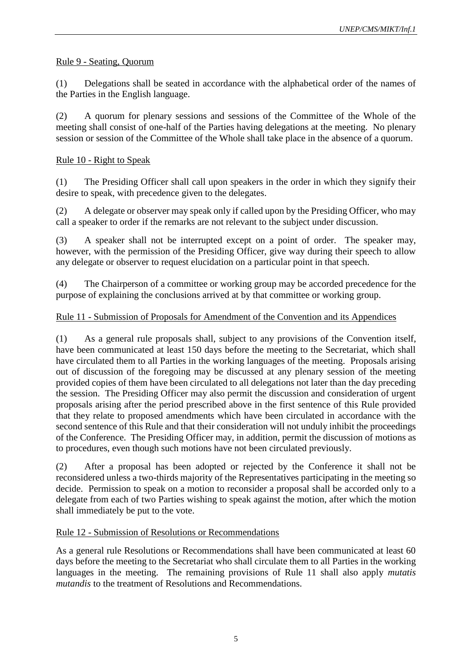### Rule 9 - Seating, Quorum

(1) Delegations shall be seated in accordance with the alphabetical order of the names of the Parties in the English language.

(2) A quorum for plenary sessions and sessions of the Committee of the Whole of the meeting shall consist of one-half of the Parties having delegations at the meeting. No plenary session or session of the Committee of the Whole shall take place in the absence of a quorum.

### Rule 10 - Right to Speak

(1) The Presiding Officer shall call upon speakers in the order in which they signify their desire to speak, with precedence given to the delegates.

(2) A delegate or observer may speak only if called upon by the Presiding Officer, who may call a speaker to order if the remarks are not relevant to the subject under discussion.

(3) A speaker shall not be interrupted except on a point of order. The speaker may, however, with the permission of the Presiding Officer, give way during their speech to allow any delegate or observer to request elucidation on a particular point in that speech.

(4) The Chairperson of a committee or working group may be accorded precedence for the purpose of explaining the conclusions arrived at by that committee or working group.

### Rule 11 - Submission of Proposals for Amendment of the Convention and its Appendices

(1) As a general rule proposals shall, subject to any provisions of the Convention itself, have been communicated at least 150 days before the meeting to the Secretariat, which shall have circulated them to all Parties in the working languages of the meeting. Proposals arising out of discussion of the foregoing may be discussed at any plenary session of the meeting provided copies of them have been circulated to all delegations not later than the day preceding the session. The Presiding Officer may also permit the discussion and consideration of urgent proposals arising after the period prescribed above in the first sentence of this Rule provided that they relate to proposed amendments which have been circulated in accordance with the second sentence of this Rule and that their consideration will not unduly inhibit the proceedings of the Conference. The Presiding Officer may, in addition, permit the discussion of motions as to procedures, even though such motions have not been circulated previously.

(2) After a proposal has been adopted or rejected by the Conference it shall not be reconsidered unless a two-thirds majority of the Representatives participating in the meeting so decide. Permission to speak on a motion to reconsider a proposal shall be accorded only to a delegate from each of two Parties wishing to speak against the motion, after which the motion shall immediately be put to the vote.

### Rule 12 - Submission of Resolutions or Recommendations

As a general rule Resolutions or Recommendations shall have been communicated at least 60 days before the meeting to the Secretariat who shall circulate them to all Parties in the working languages in the meeting. The remaining provisions of Rule 11 shall also apply *mutatis mutandis* to the treatment of Resolutions and Recommendations.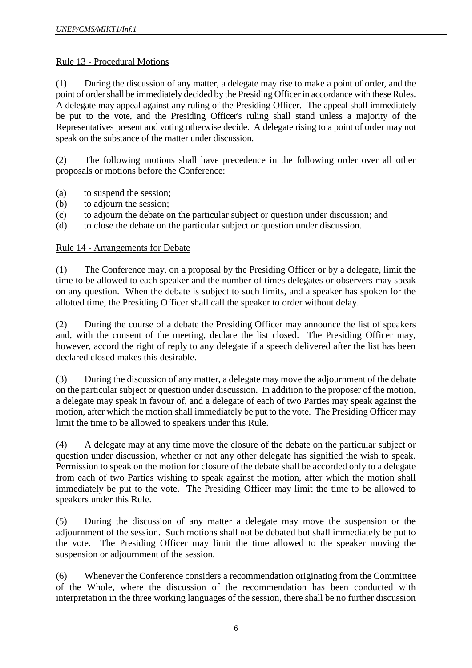#### Rule 13 - Procedural Motions

(1) During the discussion of any matter, a delegate may rise to make a point of order, and the point of order shall be immediately decided by the Presiding Officer in accordance with these Rules. A delegate may appeal against any ruling of the Presiding Officer. The appeal shall immediately be put to the vote, and the Presiding Officer's ruling shall stand unless a majority of the Representatives present and voting otherwise decide. A delegate rising to a point of order may not speak on the substance of the matter under discussion.

(2) The following motions shall have precedence in the following order over all other proposals or motions before the Conference:

- (a) to suspend the session;
- (b) to adjourn the session;
- (c) to adjourn the debate on the particular subject or question under discussion; and
- (d) to close the debate on the particular subject or question under discussion.

#### Rule 14 - Arrangements for Debate

(1) The Conference may, on a proposal by the Presiding Officer or by a delegate, limit the time to be allowed to each speaker and the number of times delegates or observers may speak on any question. When the debate is subject to such limits, and a speaker has spoken for the allotted time, the Presiding Officer shall call the speaker to order without delay.

(2) During the course of a debate the Presiding Officer may announce the list of speakers and, with the consent of the meeting, declare the list closed. The Presiding Officer may, however, accord the right of reply to any delegate if a speech delivered after the list has been declared closed makes this desirable.

(3) During the discussion of any matter, a delegate may move the adjournment of the debate on the particular subject or question under discussion. In addition to the proposer of the motion, a delegate may speak in favour of, and a delegate of each of two Parties may speak against the motion, after which the motion shall immediately be put to the vote. The Presiding Officer may limit the time to be allowed to speakers under this Rule.

(4) A delegate may at any time move the closure of the debate on the particular subject or question under discussion, whether or not any other delegate has signified the wish to speak. Permission to speak on the motion for closure of the debate shall be accorded only to a delegate from each of two Parties wishing to speak against the motion, after which the motion shall immediately be put to the vote. The Presiding Officer may limit the time to be allowed to speakers under this Rule.

(5) During the discussion of any matter a delegate may move the suspension or the adjournment of the session. Such motions shall not be debated but shall immediately be put to the vote. The Presiding Officer may limit the time allowed to the speaker moving the suspension or adjournment of the session.

(6) Whenever the Conference considers a recommendation originating from the Committee of the Whole, where the discussion of the recommendation has been conducted with interpretation in the three working languages of the session, there shall be no further discussion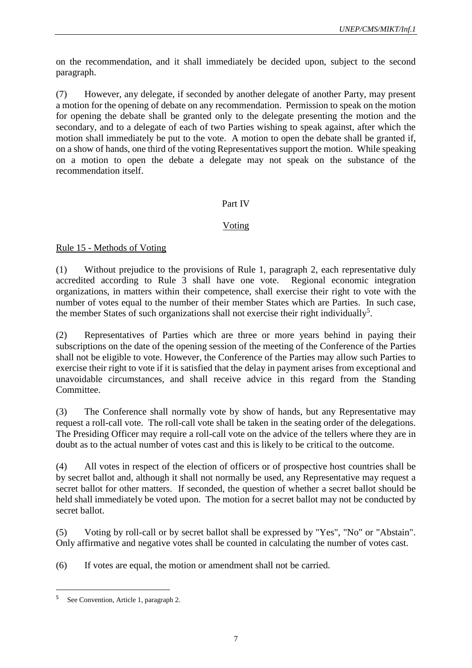on the recommendation, and it shall immediately be decided upon, subject to the second paragraph.

(7) However, any delegate, if seconded by another delegate of another Party, may present a motion for the opening of debate on any recommendation. Permission to speak on the motion for opening the debate shall be granted only to the delegate presenting the motion and the secondary, and to a delegate of each of two Parties wishing to speak against, after which the motion shall immediately be put to the vote. A motion to open the debate shall be granted if, on a show of hands, one third of the voting Representatives support the motion. While speaking on a motion to open the debate a delegate may not speak on the substance of the recommendation itself.

### Part IV

### Voting

### Rule 15 - Methods of Voting

(1) Without prejudice to the provisions of Rule 1, paragraph 2, each representative duly accredited according to Rule 3 shall have one vote. Regional economic integration organizations, in matters within their competence, shall exercise their right to vote with the number of votes equal to the number of their member States which are Parties. In such case, the member States of such organizations shall not exercise their right individually<sup>5</sup>.

(2) Representatives of Parties which are three or more years behind in paying their subscriptions on the date of the opening session of the meeting of the Conference of the Parties shall not be eligible to vote. However, the Conference of the Parties may allow such Parties to exercise their right to vote if it is satisfied that the delay in payment arises from exceptional and unavoidable circumstances, and shall receive advice in this regard from the Standing Committee.

(3) The Conference shall normally vote by show of hands, but any Representative may request a roll-call vote. The roll-call vote shall be taken in the seating order of the delegations. The Presiding Officer may require a roll-call vote on the advice of the tellers where they are in doubt as to the actual number of votes cast and this is likely to be critical to the outcome.

(4) All votes in respect of the election of officers or of prospective host countries shall be by secret ballot and, although it shall not normally be used, any Representative may request a secret ballot for other matters. If seconded, the question of whether a secret ballot should be held shall immediately be voted upon. The motion for a secret ballot may not be conducted by secret ballot.

(5) Voting by roll-call or by secret ballot shall be expressed by "Yes", "No" or "Abstain". Only affirmative and negative votes shall be counted in calculating the number of votes cast.

(6) If votes are equal, the motion or amendment shall not be carried.

l

<sup>&</sup>lt;sup>5</sup> See Convention, Article 1, paragraph 2.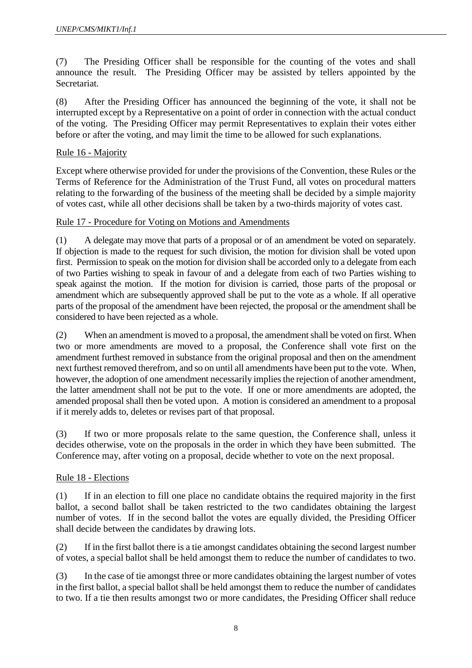(7) The Presiding Officer shall be responsible for the counting of the votes and shall announce the result. The Presiding Officer may be assisted by tellers appointed by the Secretariat.

(8) After the Presiding Officer has announced the beginning of the vote, it shall not be interrupted except by a Representative on a point of order in connection with the actual conduct of the voting. The Presiding Officer may permit Representatives to explain their votes either before or after the voting, and may limit the time to be allowed for such explanations.

#### Rule 16 - Majority

Except where otherwise provided for under the provisions of the Convention, these Rules or the Terms of Reference for the Administration of the Trust Fund, all votes on procedural matters relating to the forwarding of the business of the meeting shall be decided by a simple majority of votes cast, while all other decisions shall be taken by a two-thirds majority of votes cast.

#### Rule 17 - Procedure for Voting on Motions and Amendments

(1) A delegate may move that parts of a proposal or of an amendment be voted on separately. If objection is made to the request for such division, the motion for division shall be voted upon first. Permission to speak on the motion for division shall be accorded only to a delegate from each of two Parties wishing to speak in favour of and a delegate from each of two Parties wishing to speak against the motion. If the motion for division is carried, those parts of the proposal or amendment which are subsequently approved shall be put to the vote as a whole. If all operative parts of the proposal of the amendment have been rejected, the proposal or the amendment shall be considered to have been rejected as a whole.

(2) When an amendment is moved to a proposal, the amendment shall be voted on first. When two or more amendments are moved to a proposal, the Conference shall vote first on the amendment furthest removed in substance from the original proposal and then on the amendment next furthest removed therefrom, and so on until all amendments have been put to the vote. When, however, the adoption of one amendment necessarily implies the rejection of another amendment, the latter amendment shall not be put to the vote. If one or more amendments are adopted, the amended proposal shall then be voted upon. A motion is considered an amendment to a proposal if it merely adds to, deletes or revises part of that proposal.

(3) If two or more proposals relate to the same question, the Conference shall, unless it decides otherwise, vote on the proposals in the order in which they have been submitted. The Conference may, after voting on a proposal, decide whether to vote on the next proposal.

### Rule 18 - Elections

(1) If in an election to fill one place no candidate obtains the required majority in the first ballot, a second ballot shall be taken restricted to the two candidates obtaining the largest number of votes. If in the second ballot the votes are equally divided, the Presiding Officer shall decide between the candidates by drawing lots.

(2) If in the first ballot there is a tie amongst candidates obtaining the second largest number of votes, a special ballot shall be held amongst them to reduce the number of candidates to two.

(3) In the case of tie amongst three or more candidates obtaining the largest number of votes in the first ballot, a special ballot shall be held amongst them to reduce the number of candidates to two. If a tie then results amongst two or more candidates, the Presiding Officer shall reduce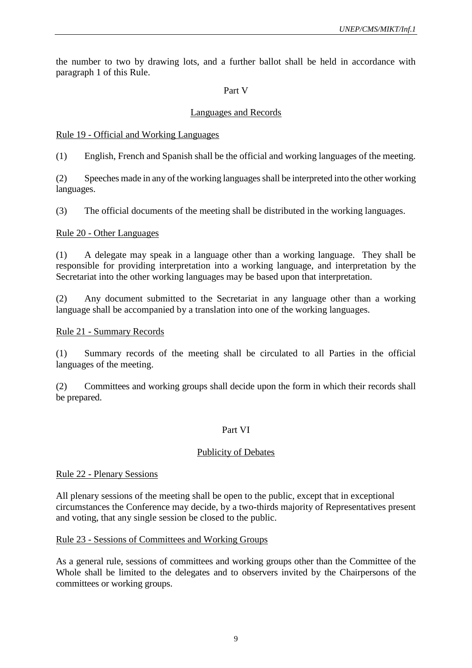the number to two by drawing lots, and a further ballot shall be held in accordance with paragraph 1 of this Rule.

#### Part V

#### Languages and Records

#### Rule 19 - Official and Working Languages

(1) English, French and Spanish shall be the official and working languages of the meeting.

(2) Speeches made in any of the working languages shall be interpreted into the other working languages.

(3) The official documents of the meeting shall be distributed in the working languages.

#### Rule 20 - Other Languages

(1) A delegate may speak in a language other than a working language. They shall be responsible for providing interpretation into a working language, and interpretation by the Secretariat into the other working languages may be based upon that interpretation.

(2) Any document submitted to the Secretariat in any language other than a working language shall be accompanied by a translation into one of the working languages.

#### Rule 21 - Summary Records

(1) Summary records of the meeting shall be circulated to all Parties in the official languages of the meeting.

(2) Committees and working groups shall decide upon the form in which their records shall be prepared.

#### Part VI

#### Publicity of Debates

#### Rule 22 - Plenary Sessions

All plenary sessions of the meeting shall be open to the public, except that in exceptional circumstances the Conference may decide, by a two-thirds majority of Representatives present and voting, that any single session be closed to the public.

#### Rule 23 - Sessions of Committees and Working Groups

As a general rule, sessions of committees and working groups other than the Committee of the Whole shall be limited to the delegates and to observers invited by the Chairpersons of the committees or working groups.